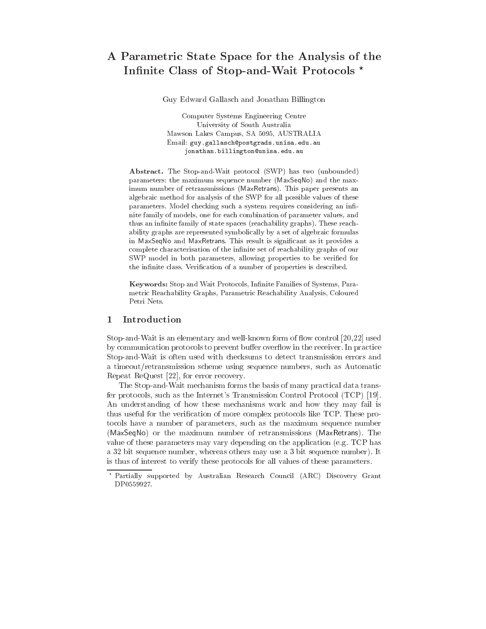# A Parametric State Space for the Analysis of the Infinite Class of Stop-and-Wait Protocols \*

Guy Edward Gallasch and Jonathan Billington

Computer Systems Engineering Centre University of South Australia Mawson Lakes Campus, SA 5095, AUSTRALIA Email: guy.gallasch@postgrads.unisa.edu.au jonathan.billington@unisa.edu.au

Abstract. The Stop-and-Wait protocol (SWP) has two (unbounded) parameters: the maximum sequence number (MaxSeqNo) and the maximum number of retransmissions (MaxRetrans). This paper presents an algebraic method for analysis of the SWP for all possible values of these parameters. Model checking such a system requires considering an in nite family of models, one for each combination of parameter values, and thus an infinite family of state spaces (reachability graphs). These reachability graphs are represented symbolically by a set of algebraic formulas in MaxSeqNo and MaxRetrans. This result is significant as it provides a complete characterisation of the infinite set of reachability graphs of our SWP model in both parameters, allowing properties to be verified for the infinite class. Verification of a number of properties is described.

Keywords: Stop and Wait Protocols, Infinite Families of Systems, Parametric Reachability Graphs, Parametric Reachability Analysis, Coloured Petri Nets.

# 1 Introduction

Stop-and-Wait is an elementary and well-known form of flow control [20,22] used by communication protocols to prevent buffer overflow in the receiver. In practice Stop-and-Wait is often used with checksums to detect transmission errors and a timeout/retransmission scheme using sequence numbers, such as Automatic Repeat ReQuest [22], for error recovery.

The Stop-and-Wait mechanism forms the basis of many practical data transfer protocols, such as the Internet's Transmission Control Protocol (TCP) [19]. An understanding of how these mechanisms work and how they may fail is thus useful for the verication of more complex protocols like TCP. These protocols have a number of parameters, such as the maximum sequence number (MaxSeqNo) or the maximum number of retransmissions (MaxRetrans). The value of these parameters may vary depending on the application (e.g. TCP has a 32 bit sequence number, whereas others may use a 3 bit sequence number). It is thus of interest to verify these protocols for all values of these parameters.

<sup>?</sup> Partially supported by Australian Research Council (ARC) Discovery Grant DP0559927.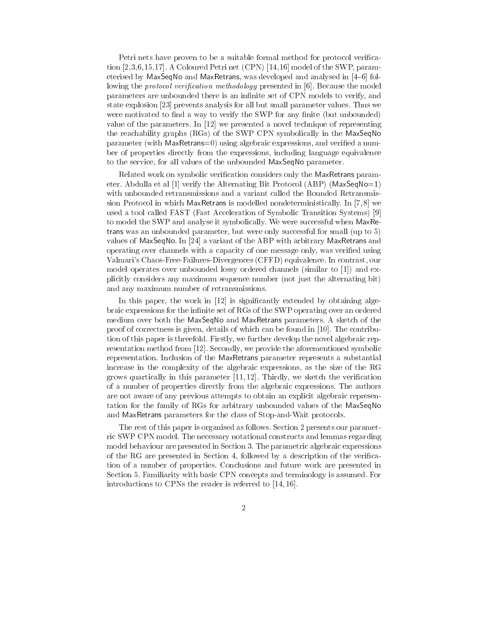Petri nets have proven to be a suitable formal method for protocol verication [2,3,6,15,17]. A Coloured Petri net (CPN) [14,16] model of the SWP, parameterised by MaxSeqNo and MaxRetrans, was developed and analysed in [4-6] following the *protocol verification methodology* presented in [6]. Because the model parameters are unbounded there is an infinite set of CPN models to verify, and state explosion [23] prevents analysis for all but small parameter values. Thus we were motivated to find a way to verify the SWP for any finite (but unbounded) value of the parameters. In [12] we presented a novel technique of representing the reachability graphs (RGs) of the SWP CPN symbolically in the MaxSeqNo parameter (with MaxRetrans=0) using algebraic expressions, and verified a number of properties directly from the expressions, including language equivalence to the service, for all values of the unbounded MaxSeqNo parameter.

Related work on symbolic verication considers only the MaxRetrans parameter. Abdulla et al [1] verify the Alternating Bit Protocol (ABP) (MaxSeqNo=1) with unbounded retransmissions and a variant called the Bounded Retransmission Protocol in which MaxRetrans is modelled nondeterministically. In [7, 8] we used a tool called FAST (Fast Acceleration of Symbolic Transition Systems) [9] to model the SWP and analyse it symbolically. We were successful when MaxRetrans was an unbounded parameter, but were only successful for small (up to 5) values of MaxSeqNo. In [24] a variant of the ABP with arbitrary MaxRetrans and operating over channels with a capacity of one message only, was veried using Valmari's Chaos-Free-Failures-Divergences (CFFD) equivalence. In contrast, our model operates over unbounded lossy ordered channels (similar to [1]) and explicitly considers any maximum sequence number (not just the alternating bit) and any maximum number of retransmissions.

In this paper, the work in [12] is significantly extended by obtaining algebraic expressions for the infinite set of RGs of the SWP operating over an ordered medium over both the MaxSeqNo and MaxRetrans parameters. A sketch of the proof of correctness is given, details of which can be found in [10]. The contribution of this paper is threefold. Firstly, we further develop the novel algebraic representation method from [12]. Secondly, we provide the aforementioned symbolic representation. Inclusion of the MaxRetrans parameter represents a substantial increase in the complexity of the algebraic expressions, as the size of the RG grows quartically in this parameter  $[11, 12]$ . Thirdly, we sketch the verification of a number of properties directly from the algebraic expressions. The authors are not aware of any previous attempts to obtain an explicit algebraic representation for the family of RGs for arbitrary unbounded values of the MaxSeqNo and MaxRetrans parameters for the class of Stop-and-Wait protocols.

The rest of this paper is organised as follows. Section 2 presents our parametric SWP CPN model. The necessary notational constructs and lemmas regarding model behaviour are presented in Section 3. The parametric algebraic expressions of the RG are presented in Section 4, followed by a description of the verication of a number of properties. Conclusions and future work are presented in Section 5. Familiarity with basic CPN concepts and terminology is assumed. For introductions to CPNs the reader is referred to [14, 16].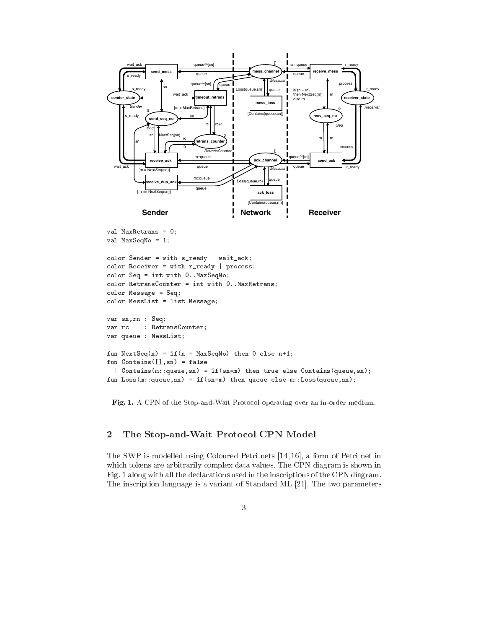

```
value of the contract of \alpha , and \alpha\mathbf{v} and \mathbf{v} and \mathbf{v} and \mathbf{v} and \mathbf{v} and \mathbf{v} and \mathbf{v} and \mathbf{v} and \mathbf{v} and \mathbf{v} and \mathbf{v} and \mathbf{v} and \mathbf{v} and \mathbf{v} and \mathbf{v} and \mathbf{v} and \mathbf{v} and
```

```
color Sender = with s_ready | wait_activity
color Receiver = with r_ready | process;
color Seq = interesting or color sequence of \simcolor Retransive and the second contract of the contract of the contract of the contract of the contract of the contract of the contract of the contract of the contract of the contract of the contract of the contract of th
color Message = Seq;
color MessList = list Message;
```

```
var sn, result
var: RetransCounter;
var queue : var en en en e ;
function of \mathcal{L} and \mathcal{L} are defined to the \mathcal{L} and \mathcal{L} are \mathcal{L} . If \mathcal{L}fun Contains([],sn) = false
  | Contains(m::queue,sn) = if(sn=m) then true else Contains(queue,sn);
fun Loss(m::queue,sn) = if(sn=m) then queue else m::Loss(queue,sn);
```
Fig. 1. A CPN of the Stop-and-Wait Protocol operating over an in-order medium.

#### $\overline{2}$ The Stop-and-Wait Protocol CPN Model

The SWP is modelled using Coloured Petri nets [14, 16], a form of Petri net in which tokens are arbitrarily complex data values. The CPN diagram is shown in Fig. 1 along with all the declarations used in the inscriptions of the CPN diagram. The inscription language is a variant of Standard ML [21]. The two parameters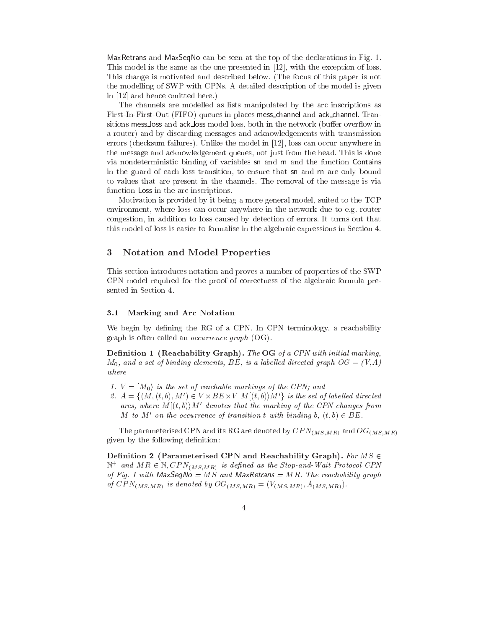MaxRetrans and MaxSeqNo can be seen at the top of the declarations in Fig. 1. This model is the same as the one presented in [12], with the exception of loss. This change is motivated and described below. (The focus of this paper is not the modelling of SWP with CPNs. A detailed description of the model is given in [12] and hence omitted here.)

The channels are modelled as lists manipulated by the arc inscriptions as First-In-First-Out (FIFO) queues in places mess channel and ack channel. Transitions mess\_loss and ack\_loss model loss, both in the network (buffer overflow in a router) and by discarding messages and acknowledgements with transmission errors (checksum failures). Unlike the model in [12], loss can occur anywhere in the message and acknowledgement queues, not just from the head. This is done via nondeterministic binding of variables sn and rn and the function Contains in the guard of each loss transition, to ensure that sn and rn are only bound to values that are present in the channels. The removal of the message is via function Loss in the arc inscriptions.

Motivation is provided by it being a more general model, suited to the TCP environment, where loss can occur anywhere in the network due to e.g. router congestion, in addition to loss caused by detection of errors. It turns out that this model of loss is easier to formalise in the algebraic expressions in Section 4.

## 3 Notation and Model Properties

This section introduces notation and proves a number of properties of the SWP CPN model required for the proof of correctness of the algebraic formula presented in Section 4.

### 3.1 Marking and Arc Notation

We begin by defining the RG of a CPN. In CPN terminology, a reachability graph is often called an occurrence graph (OG).

Definition 1 (Reachability Graph). The OG of a CPN with initial marking,  $M_0$ , and a set of binding elements, BE, is a labelled directed graph  $OG = (V, A)$ where

- 1.  $V = [M_0$  is the set of reachable markings of the CPN; and
- 2.  $A = \{ (M, (t, 0), M) \in V \times DEL \times V | M | (t, 0) \}$  is the set of labelled directed arcs, where  $M[(t, b)]M'$  denotes that the marking of the CPN changes from M to M' on the occurrence of transition t with binding b,  $(t, b) \in BE$ .

The parameterised CPN and its RG are denoted by  $CPN_{(MS,MR)}$  and  $OG_{(MS,MR)}$ given by the following definition:

Definition 2 (Parameterised CPN and Reachability Graph). For  $MS \in$  $N+$  and MR  $\in$  N; CPN( $_{MS,MR}$ ) is defined as the Stop-and-Wait Protocol CPN of Fig. 1 with  $MaxSeqNo = MS$  and  $MaxRetrans = MR$ . The reachability graph of  $CPN_{(MS,MR)}$  is denoted by  $OG_{(MS,MR)} = (V_{(MS,MR)}, A_{(MS,MR)}).$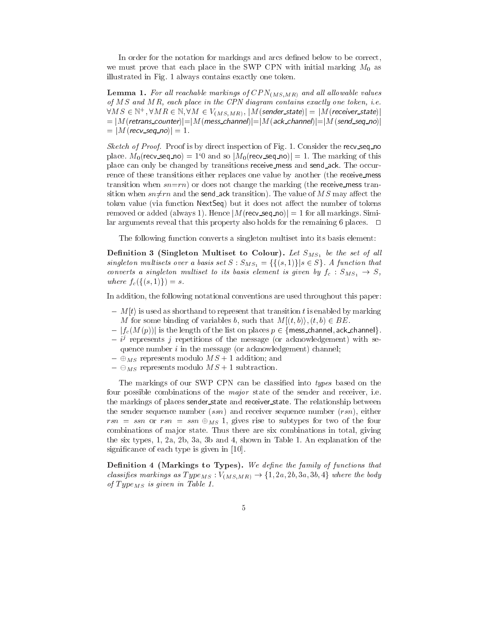In order for the notation for markings and arcs defined below to be correct, we must prove that each place in the SWP CPN with initial marking  $M_0$  as illustrated in Fig. 1 always contains exactly one token.

**Lemma 1.** For all reachable markings of  $CPN_{(MS,MR)}$  and all allowable values of  $MS$  and  $MR$ , each place in the CPN diagram contains exactly one token, i.e.  $8KM \geq \in \mathbb{N}^3$ ,  $8KM \in \mathbb{N},$   $8M \in V(MS,MR)$ ,  $|M$  (sender state)] = |M (receiver state)]  $p=|M(\mathsf{retrans}\_\mathsf{counter})|\!=\!|M(\mathsf{mess}\_\mathsf{channel})|\!=\!|M(\mathsf{ack}\_\mathsf{channel})|\!=\!|M(\mathsf{send}\_\mathsf{seq}\_\mathsf{mod})|$  $= |M(recv\_seq\_no)| = 1.$ 

Sketch of Proof. Proof is by direct inspection of Fig. 1. Consider the recv\_seq\_no place.  $M_0$ (recv\_seq\_no) = 1<sup>o</sup> and so  $|M_0$ (recv\_seq\_no) = 1. The marking of this place can only be changed by transitions receive mess and send ack. The occurrence of these transitions either replaces one value by another (the receive mess transition when  $sn=rn$ ) or does not change the marking (the receive mess transition when  $sn\neq rn$  and the send ack transition). The value of MS may affect the token value (via function NextSeq) but it does not affect the number of tokens removed or added (always 1). Hence  $|M$  (recv seq no) = 1 for all markings. Similar arguments reveal that this property also holds for the remaining 6 places.  $\Box$ 

The following function converts a singleton multiset into its basis element:

Definition 3 (Singleton Multiset to Colour). Let  $S_{MS_1}$  be the set of all singleton multisets over a basis set  $S : S_{MS_1} = \{ \{ (s,1) \} | s \in S \}$ . A function that converts a singleton multiset to its basis element is given by  $f_c : S_{MS_1} \rightarrow S$ , where  $f_c({ (s, 1) }) = s$ .

In addition, the following notational conventions are used throughout this paper:

- ${ -M[t]}$  is used as shorthand to represent that transition t is enabled by marking M for some binding of variables b, such that  $M[(t, b)\rangle, (t, b) \in BE$ .
- ${ = |f_c(M(p))|}$  is the length of the list on places  $p \in {\{$  mess\_channel, ack\_channel}.
- $\rightarrow$   $\nu$  represents  $j$  repetitions of the message (or acknowledgement) with sequence number  $i$  in the message (or acknowledgement) channel;
- ${\cal A} = \bigoplus_{MS}$  represents modulo  $MS + 1$  addition; and
- ${}- \bigoplus_{MS}$  represents modulo  $MS + 1$  subtraction.

The markings of our SWP CPN can be classified into types based on the four possible combinations of the *major* state of the sender and receiver, i.e. the markings of places sender\_state and receiver\_state. The relationship between the sender sequence number  $(ssn)$  and receiver sequence number  $(rsn)$ , either  $rsn = ssn$  or  $rsn = ssn \oplus_{MS} 1$ , gives rise to subtypes for two of the four combinations of major state. Thus there are six combinations in total, giving the six types, 1, 2a, 2b, 3a, 3b and 4, shown in Table 1. An explanation of the significance of each type is given in [10].

 $\mathcal{M}$  and the family of the family of function  $\mathcal{M}$  and functions the family of functions that functions that functions the family of functions that functions the family of functions of functions  $\mathcal{M}$ **Definition 4 (Markings to Types).** We define the family of functions that classifies markings as  $Type_{MS} : V_{(MS,MR)} \rightarrow \{1, 2a, 2b, 3a, 3b, 4\}$  where the body of  $Type_{MS}$  is given in Table 1.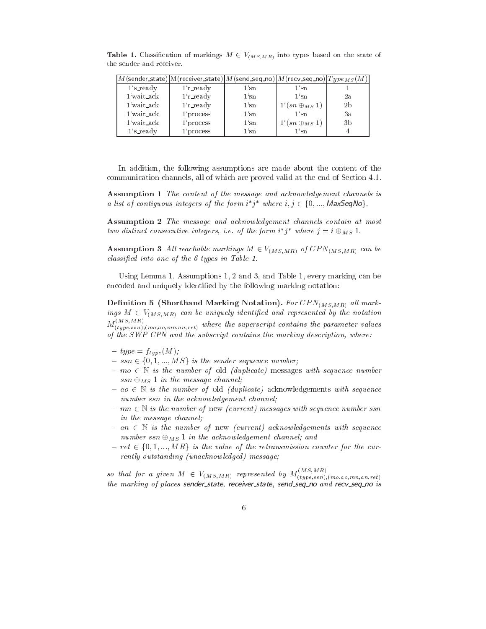|             | $ M($ sender_state) $ M($ receiver_state) $ M($ send_seq_no) $ M($ recv_seq_no) $ Type_{MS}(M) $ |         |                               |                |
|-------------|--------------------------------------------------------------------------------------------------|---------|-------------------------------|----------------|
| $1's$ ready | $1'r$ ready                                                                                      | 1'sn    | 1'sn                          |                |
| 1 wait_ack  | $1'r$ ready                                                                                      | $1$ 'sn | 1'sn                          | 2a             |
| 1'wait_ack  | $1$ 'r ready                                                                                     | 1'sn    | $1^{\iota}(sn \oplus_{MS} 1)$ | 2 <sub>b</sub> |
| 1'wait_ack  | 1'process                                                                                        | 1'sn    | 1'sn                          | Зa             |
| 1'wait_ack  | $1$ 'process                                                                                     | $1$ 'sn | $1'(sn \oplus_{MS} 1)$        | 3b             |
| $1's$ ready | 1'process                                                                                        | $1$ 'sn | 1'sn                          |                |

**Table 1.** Classification of markings  $M \in V_{(MS,MR)}$  into types based on the state of the sender and receiver.

In addition, the following assumptions are made about the content of the communication channels, all of which are proved valid at the end of Section 4.1.

assumption that the content of the message and account channels is contented in the message and acknowledgemen a ust of contiguous integers of the form  $i$  f where  $i$ , and acknowledgement channels is<br>where  $i, j \in \{0, ..., MaxSeqNo\}$ .

Assumption 2 The message and acknowledgement channels contain at most two assinct consecutive integers, i.e. of the form i  $j$  –where  $j = i \oplus_{MS} 1$ .

**Assumption 3** All reachable markings  $M \in V_{(MS,MR)}$  of  $CPN_{(MS,MR)}$  can be classied into one of the 6 types in Table 1.

Using Lemma 1, Assumptions 1, 2 and 3, and Table 1, every marking can be encoded and uniquely identied by the following marking notation:

Definition 5 (Shorthand Marking Notation). For  $CPN_{(MS,MR)}$  all markings  $M \in V_{(MS, MR)}$  can be uniquely identified and represented by the notation  $M_{(time,ssn),(mo,ao,mn,an,ret)}^{(time,ssn)}$  where the superscript contains the parameter values of the SWP CPN and the subscript contains the marking description, where:

- ${}-type = f_{type}(M);$
- ${s} = ssn \in \{0, 1, ..., MS\}$  is the sender sequence number;
- ${-} \, m o \in \mathbb{N}$  is the number of old (duplicate) messages with sequence number  $ssn \ominus_{MS} 1$  in the message channel;
- ${ a}o \in \mathbb{N}$  is the number of old *(duplicate)* acknowledgements with sequence number ssn in the acknowledgement channel;
- ${ m n \in \mathbb{N} \text{ is the number of new (current) messages with sequence number ssn } }$ in the message channel;
- ${ }-an \in \mathbb{N}$  is the number of new (current) acknowledgements with sequence<br>number  $ssn \oplus_{MS} 1$  in the acknowledgement channel; and<br> ${-}ret \in \{0,1,...,MR\}$  is the value of the retransmission counter for the curnumber  $ssn \oplus_{MS} 1$  in the acknowledgement channel; and
- rently outstanding (unacknowledged) message;

so that for a given  $M \in V_{(MS, MR)}$  represented by  $M_{(type,ssn),(mo,ao,mn,an,ret)}$ the marking of places sender\_state, receiver\_state, send\_seq\_no and recv\_seq\_no is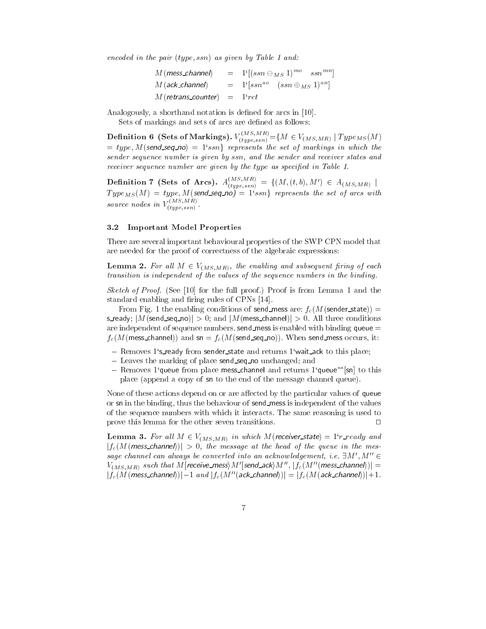encoded in the pair (type; ssn) as given by Table 1 and:

| $M$ (mess_channel) $\,$       | $= 1^{i}[(ssn \ominus_{MS} 1)^{mo} - ssn^{mn}]$                                             |
|-------------------------------|---------------------------------------------------------------------------------------------|
|                               | $M(\text{ack\_channel})$ = $1^{\lceil \log n^{ao} \rceil} (\text{ss} n \oplus_{MS} 1)^{an}$ |
| $M(retrans\_counter) = 1rret$ |                                                                                             |

Analogously, a shorthand notation is defined for arcs in [10].

Sets of markings and sets of arcs are defined as follows:

**Definition 6** (Sets of Markings).  $V_{(true,ssn)} = {M \in V_{(MS,MR)} | TypeMs(M)}$  $= type, M(\text{send\_seq\_no}) = 1$ 'ssn} represents the set of markings in which the sender sequence number is given by ssn, and the sender and receiver states and receiver sequence number are given by the type as specified in Table 1.

Definition 7 (Sets of Arcs).  $A_{(true,ssn)}^{(true,ssn)} = \{ (M, (t,b), M') \in A_{(MS, MR)} \mid$  $I$  ype $M_S(M) = I$ ype, M(send\_seq\_no)  $= I$  ssn $\}$  represents the set of arcs with source nodes in  $V_{(1, \ldots, n)}$ .

### 3.2 Important Model Properties

 $\mathbf{y} = \mathbf{y} + \mathbf{y} + \mathbf{y}$ 

There are several important behavioural properties of the SWP CPN model that are needed for the proof of correctness of the algebraic expressions:

**Lemma 2.** For all  $M \in V_{(MS,MR)}$ , the enabling and subsequent firing of each transition is independent of the values of the sequence numbers in the binding.

Sketch of Proof. (See [10] for the full proof.) Proof is from Lemma 1 and the standard enabling and firing rules of CPNs [14].

From Fig. 1 the enabling conditions of send mess are:  $f_c(M(\text{sender\_state}))$  = s\_ready;  $|M$ (send\_seq\_no)| > 0; and  $|M$ (mess\_channel)| > 0. All three conditions are independent of sequence numbers. send mess is enabled with binding queue  $=$  $f_c(M(mess{\_}channel))$  and sn =  $f_c(M(send{\_}seq{\_}no))$ . When send\_mess occurs, it:

- Removes 1's ready from sender state and returns 1'wait ack to this place;
- Leaves the marking of place send seq no unchanged; and
- ${\rm -}\;$  Removes 1<sup>o</sup>queue from place mess\_channel and returns 1<sup>o</sup>queue<sup> $\sim$ </sup>[sn] to this place (append a copy of sn to the end of the message channel queue).

None of these actions depend on or are affected by the particular values of queue or sn in the binding, thus the behaviour of send mess is independent of the values of the sequence numbers with which it interacts. The same reasoning is used to prove this lemma for the other seven transitions.  $\Box$ 

**Lemma 3.** For all  $M \in V_{(MS,MR)}$  in which M(receiver state) = 1°r\_ready and  $|f_c(M(mess{\text{-}channel}))| > 0$ , the message at the head of the queue in the message channel can always be converted into an acknowledgement, i.e.  $\exists M', M'' \in$  $V_{(MS,MR)}$  such that  $M$  [receive\_mess $\rangle M'$ [send\_ack $\rangle M'' ,$   $|f_c(M''(mess\_channel))| =$  $|f_c(M(mess{\_}channel))|-1$  and  $|f_c(M''(ack{\_}channel))|=|f_c(M(ack{\_}channel))|+1$ .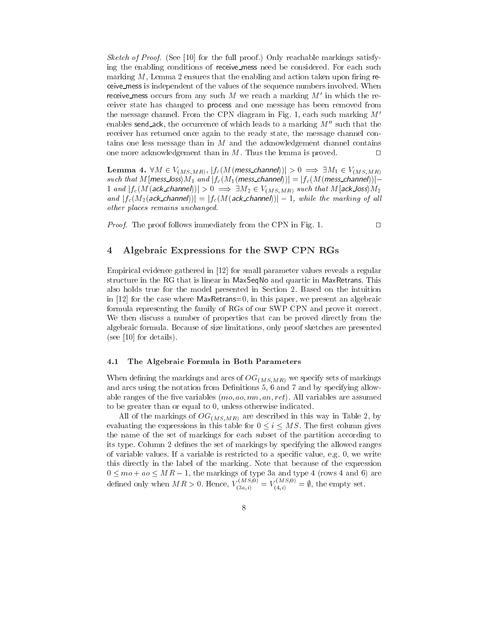Sketch of Proof. (See [10] for the full proof.) Only reachable markings satisfying the enabling conditions of receive mess need be considered. For each such marking  $M$ , Lemma 2 ensures that the enabling and action taken upon firing receive mess is independent of the values of the sequence numbers involved. When receive mess occurs from any such M we reach a marking  $M'$  in which the receiver state has changed to process and one message has been removed from the message channel. From the CPN diagram in Fig. 1, each such marking  $M'$ enables send\_ack, the occurrence of which leads to a marking  $M''$  such that the receiver has returned once again to the ready state, the message channel contains one less message than in  $M$  and the acknowledgement channel contains one more acknowledgement than in  $M$ . Thus the lemma is proved.  $\Box$ 

**Lemma 4.**  $VM \in V(MS, MR)$ ,  $J_c(M(mess\_channel))$  $> 0 \implies \exists M_1 \in V(MS, MR)$ such that M [mess\_loss]  $M_1$  and  $|f_c(M_1(\text{mess\_channel}))| = |f_c(M(\text{mess\_channel}))| - 1$  and  $|f_c(M(\text{ack\_channel}))| > 0 \implies \exists M_2 \in V_{(MS, MR)}$  such that M [ack\_loss]  $M_2$ <br>and  $|f_c(M_2(\text{ack\_channel}))| = |f_c(M(\text{ack\_channel}))| - 1$ , while the marking of all 1 and  $|f_c(M(\text{ack-channel}))| > 0 \implies \exists M_2 \in V_{(MS,MR)}$  such that  $M[\text{ack_loss}]M_2$ other places remains unchanged.

*Proof.* The proof follows immediately from the CPN in Fig. 1.  $\Box$ 

# 4 Algebraic Expressions for the SWP CPN RGs

Empirical evidence gathered in [12] for small parameter values reveals a regular structure in the RG that is linear in MaxSeqNo and quartic in MaxRetrans. This also holds true for the model presented in Section 2. Based on the intuition in [12] for the case where MaxRetrans=0, in this paper, we present an algebraic formula representing the family of RGs of our SWP CPN and prove it correct. We then discuss a number of properties that can be proved directly from the algebraic formula. Because of size limitations, only proof sketches are presented (see [10] for details).

#### 4.1 The Algebraic Formula in Both Parameters

When defining the markings and arcs of  $OG_{(MS,MR)}$  we specify sets of markings and arcs using the notation from Definitions 5, 6 and 7 and by specifying allowable ranges of the five variables  $(mo, ao, mn, an, ret)$ . All variables are assumed to be greater than or equal to 0, unless otherwise indicated.

All of the markings of  $OG_{(MS,MR)}$  are described in this way in Table 2, by evaluating the expressions in this table for  $0 \le i \le MS$ . The first column gives the name of the set of markings for each subset of the partition according to its type. Column 2 defines the set of markings by specifying the allowed ranges of variable values. If a variable is restricted to a specific value, e.g. 0, we write this directly in the label of the marking. Note that because of the expression  $0 \leq mo + ao \leq MR - 1$ , the markings of type 3a and type 4 (rows 4 and 6) are defined only when  $M K > 0$ . Hence,  $V_{(3a,i)}^{(3a,i)} = V_{(4,i)}^{(4,i)} = \emptyset$ , the empty set.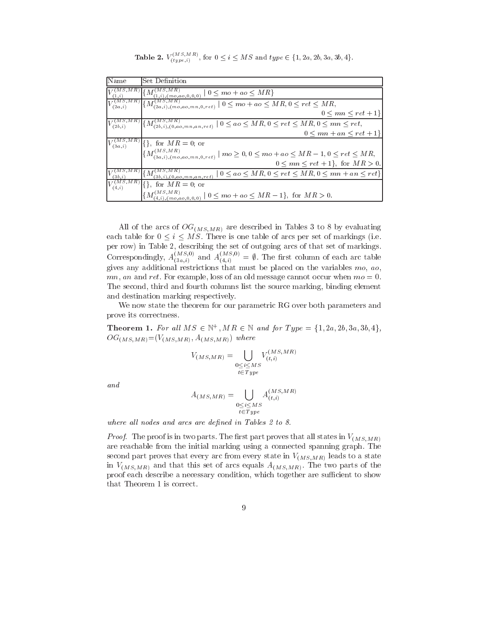**Table 2.**  $V_{(type, i)}^{(MS, M.B)}$ , for  $0 \le i \le MS$  and  $type \in \{1, 2a, 2b, 3a, 3b, 4\}$ .

| <b>Name</b>  | Set Definition                                                                                                                                           |
|--------------|----------------------------------------------------------------------------------------------------------------------------------------------------------|
|              | $\cdot M^{\vee}$<br>$\sum_{(1,i),(mo,ao,0,0,0)}$ $ 0 \leq mo + ao \leq \overline{MR}$                                                                    |
| (2a,i)       | $\frac{r(MS, MR)}{(2a,i),(mo,ao,mn,0,ret)}$ $ 0 \leq m\overline{o + a_0} \leq MR, 0 \leq ret \leq MR,$<br>$\{M\}$                                        |
|              | $0 \leq mn \leq ret + 1$                                                                                                                                 |
| $V_{(2b,i)}$ | $\left\{M_{(2b,i),(0,ao,mn,an,ret)}^{(M S,M R)} \mid 0 \leq ao \leq MR, 0 \leq ret \leq MR, 0 \leq mn \leq ret, \right\}$                                |
|              | $0 \leq mn + an \leq ret + 1$                                                                                                                            |
|              | $V_{(3a,i)}^{(MS,MR)}[\{\}, \text{ for } MR=0; \text{ or }$                                                                                              |
|              | $\{M_{(3a,i),(mo,ao,mn,0,ret)}^{(MS,MR)} \mid m\text{o} \geq 0, 0 \leq mo + ao \leq MR - 1, 0 \leq ret \leq MR,$                                         |
|              | $0 \le mn \le ret + 1$ , for $MR > 0$ .                                                                                                                  |
| (3b, i)      | $\{M^{(MS,\overline{MR})}_{(21,1)},\ldots\}$<br>$0 \leq ao \leq MR, 0 \leq ret \leq MR, 0 \leq mn + an \leq ret$<br>(3b, i), (0, a o, mn, an, re t)      |
| (4, i)       | $\{\}\,$ , for $MR = 0$ ; or                                                                                                                             |
|              | $M(M^{S,MR})$<br>$\left\{ \binom{m}{4,i}, \binom{m}{2}, a_{0}, a_{1}, a_{0}, 0, 0} \mid 0 \leq m_{0} + a_{0} \leq MR - 1 \right\}, \text{ for } MR > 0.$ |

All of the arcs of  $OG_{(MS,MR)}$  are described in Tables 3 to 8 by evaluating each table for  $0 \le i \le MS$ . There is one table of arcs per set of markings (i.e. per row) in Table 2, describing the set of outgoing arcs of that set of markings. Correspondingly,  $A_{(3a,i)}^{\dagger}$  and  $A_{(4,i)}^{\dagger}$  =  $\emptyset$ . The first column of each arc table gives any additional restrictions that must be placed on the variables  $mo$ ,  $ao$ ,  $mn$ , an and ret. For example, loss of an old message cannot occur when  $mo = 0$ . The second, third and fourth columns list the source marking, binding element and destination marking respectively.

We now state the theorem for our parametric RG over both parameters and prove its correctness.

**Theorem 1.** For all  $M \ge \in \mathbb{N}$ ,  $M \in \mathbb{N}$  and for Type  $= \{1, 2a, 2b, 3a, 3b, 4\}$ ,  $OG<sub>(MS,MR)</sub> = (V<sub>(MS,MR)</sub>, A<sub>(MS,MR)</sub>)$  where

$$
V_{(MS,MR)} = \bigcup_{\substack{0 \le i \le MS \\ t \in Type}} V_{(t,i)}^{(MS,MR)}
$$

and

$$
A_{(MS,MR)} = \bigcup_{\substack{0 \le i \le MS \\ t \in Type}} A_{(t,i)}^{(MS,MR)}
$$

where all nodes and arcs are defined in Tables 2 to 8.

*Proof.* The proof is in two parts. The first part proves that all states in  $V_{(MS,MR)}$ are reachable from the initial marking using a connected spanning graph. The second part proves that every arc from every state in  $V_{(MS,MR)}$  leads to a state in  $V_{(MS,MR)}$  and that this set of arcs equals  $A_{(MS,MR)}$ . The two parts of the proof each describe a necessary condition, which together are sufficient to show that Theorem 1 is correct.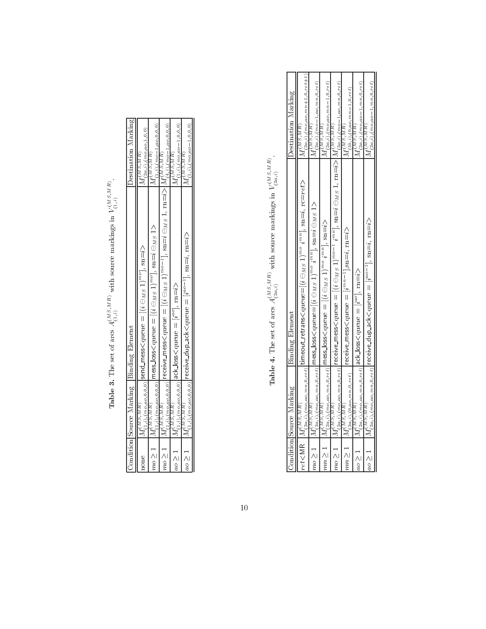| ļ<br>$\lambda$ , $\lambda$ , $\lambda$ , $\lambda$ , $\lambda$ , $\lambda$<br>: |
|---------------------------------------------------------------------------------|
|                                                                                 |
| <b>CALL UND VALUE</b><br>J<br>The move control difference in<br>$\frac{1}{2}$   |
|                                                                                 |
| $\ddot{\phantom{0}}$                                                            |
| ļ                                                                               |
| í                                                                               |
| ׇ֚֘֝֬                                                                           |
| $-24.2 + 0.02$<br>ו<br>ו                                                        |
|                                                                                 |
| $\frac{1}{2}$<br>Ē                                                              |
|                                                                                 |
| $\frac{a}{c}$<br>)<br>}<br>$\overline{\phantom{a}}$<br>I<br>ł                   |

| Condition Source Marking Binding Element                                                          | Oestination Marking                                                                                                                                                                                                                                                                                                                                                                                                                                                                                                                                                                                                                   |
|---------------------------------------------------------------------------------------------------|---------------------------------------------------------------------------------------------------------------------------------------------------------------------------------------------------------------------------------------------------------------------------------------------------------------------------------------------------------------------------------------------------------------------------------------------------------------------------------------------------------------------------------------------------------------------------------------------------------------------------------------|
|                                                                                                   |                                                                                                                                                                                                                                                                                                                                                                                                                                                                                                                                                                                                                                       |
|                                                                                                   | $^{11}$ (2a,i), (mo,ao,1,0,0)<br>M(MS, MR)                                                                                                                                                                                                                                                                                                                                                                                                                                                                                                                                                                                            |
|                                                                                                   | $M_{(1,i),(mo-1,ao,0,0,0)}^{(MS,MB)}$                                                                                                                                                                                                                                                                                                                                                                                                                                                                                                                                                                                                 |
|                                                                                                   |                                                                                                                                                                                                                                                                                                                                                                                                                                                                                                                                                                                                                                       |
|                                                                                                   |                                                                                                                                                                                                                                                                                                                                                                                                                                                                                                                                                                                                                                       |
|                                                                                                   | $^{1M}$ (1,i),(mo,ao-1,0,0,0)<br>M(MS, MR)                                                                                                                                                                                                                                                                                                                                                                                                                                                                                                                                                                                            |
| $u_{(1,i),(mo,ao,0,0,0)}$  receive_dup_ack <queue <math="" =="">[i^{ao-1}], sn=i, m=i&gt;</queue> | $(1, i)$ , $(mo, ao-1, 0, 0, 0)$<br>M(MS, M R)                                                                                                                                                                                                                                                                                                                                                                                                                                                                                                                                                                                        |
|                                                                                                   | $ M_{(1,i),(m o,a o,0,0,0)}^{(M S,M R)} $ receive_mess< queue = $[(i \ominus_{M S} 1)^{m o-1}]$ , sn= $i \ominus_{M S} 1$ , m= $i >  M_{(4,i),(m o-1, a o, 0, 0, 0)}$<br>$M_{(1,i),(m_0,a_0,0,0,0)}^{(M,S,MR)}$ messJoss $\leq$ losen puento $\leq m_0$ (i, e) $m_0$ , $(3M_S,1)$<br>$\frac{M_{(1,i),(m_{2,4,0},0,0,0,0)}}{N_{(1,i),(m_{2,4,0},0,0,0,0)}}$  send_mess <queue <math="" =="">[(i \ominus_{M,5} 1)^{mo}], sn=<math>i</math>&gt;<br/><math>\left M^{(MS,MR)}_{(1,i),(m_{Q},q_{Q},0,0,0)}\right </math>ack_loss<queue =="" [<math="">i^{a}°], m=<math>i</math>&gt;<br/>M(S,MR)<br/><math>1_M(MS,MR)</math></queue></queue> |

**Table 4.** The set of arcs  $A_{(2a,i)}^{(MS,MR)}$  with source markings in  $V_{(2a,i)}^{(MS,MR)}$ .

|                    | Condition Source Marking               | Binding Element                                                                                                                                                                                 | <b>Destination Marking</b>                                                                |
|--------------------|----------------------------------------|-------------------------------------------------------------------------------------------------------------------------------------------------------------------------------------------------|-------------------------------------------------------------------------------------------|
| $ret<$ MR          |                                        | $\text{Tr}(\mathbb{W}^{SMR}_{2a,ib},\mathbb{W}^{R}_{a,0},\mathbb{W}^{R}_{a,0})$ timeout_retrans $<$ queu $=[(i\ominus_M s\ 1)^{m\omega}\ i^{mn}],$ $\text{sn}=_i,$ rc $=$ r $et$ z              | $M_{(2a,i),(mo,ao,mn+1,0,ret+1)}^{(MS,MR)}$                                               |
| mo > 1             |                                        | $ M^{(MS,MR)}_{(2a,i),(mo,ao,mn,0,ret)} $ mess_loss <queue=<math>[(i \ominus_{MS} 1)^{mo} i^{mn}], sn=<math>i \ominus_{MS} 1</math>&gt;</queue=<math>                                           | $M_{(2a,i),(mo-1,ao,mn,0,ret)}^{(MS,MB)}$                                                 |
| mn > 1             |                                        | $M^{(MS,MR)}_{(2a,i),(mo,ao,mn,0,ret)}$ mess_loss <queue <math="" =="">[(i \ominus_{MS} 1)^{mo} i^{mn}], sn=i&gt;</queue>                                                                       | $M_{(2a,i),(mo,ao,mn-1,0,ret)}^{(MS,MR)}$                                                 |
| $mo \geq 1$        |                                        | $\big M_{(2a,i),(mo,ao,mn,0,ret)} $ receive_mess <queue <math="" =="">[(i\ominus_{MS}1)^{mo-1}i^{mn}]\text{, sn=}\iominus_{MS}1\text{, m=}\itriangleright]M_{(2a,i),(mo-1,ao,mn,0,ret)}</queue> |                                                                                           |
| $mn \geq 1$        | $M_{(2a,i),(0,ao,mn,0,ret)}^{(MS,MR)}$ | $ $ receive_mess< queue $=$ $[i^{mn-1}]$ , sn=i, rn=i $\rangle$                                                                                                                                 | $M_{(3b,i),(0,ao,mn-1,0,ret)}^{(MS,MR)}$                                                  |
| $ a\circ\rangle$ 1 |                                        | $\big M^{(MS,MA)}_{(2a,i),(m_2a_2,m_30,rel)}\big \text{ack-loss}\text{-queue} = [i^{ac}],\text{rm=i}\text{>}$                                                                                   | $^{1}M$ (2a, i), (mo, a $_{0}$ – 1, mn, 0, ret)<br>$M^{(M S, \overline{M} \overline{R})}$ |
| $ a\circ a $       |                                        | $M_{(2a,i),(m o, a o, mn, 0, rel)}^{(MS,MR)}$  receive_dup_ack <queue <math="" =="">[i^{ao-1}], sn=i, m=i&gt;</queue>                                                                           | $^{14}(2a, i), (mo, ao-1, mn, 0, ret)$<br>M(MS,MR)                                        |

10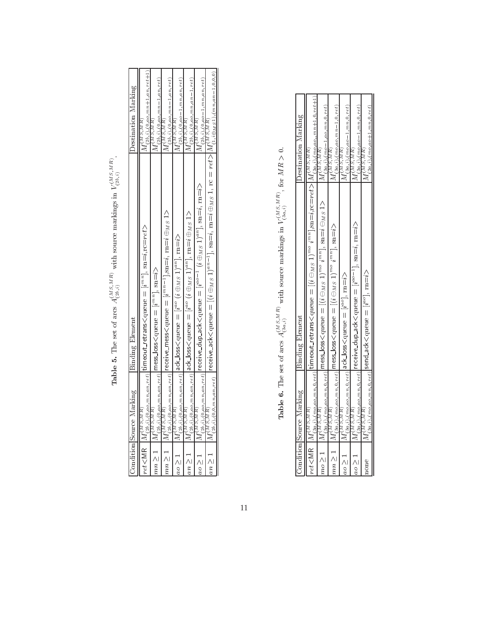|   | $\vdots$                              |
|---|---------------------------------------|
|   |                                       |
|   | ׇ֚֓֡                                  |
|   |                                       |
|   |                                       |
|   | i<br><b>SAT CONSTRUCTION COOPEROD</b> |
|   |                                       |
|   | ï                                     |
|   |                                       |
|   |                                       |
|   |                                       |
|   | ׇ֚֚֬֕                                 |
|   |                                       |
|   |                                       |
|   |                                       |
|   | $\frac{1}{2}$                         |
|   |                                       |
|   |                                       |
|   |                                       |
|   | $\frac{1}{2}$                         |
|   | $\frac{1}{2}$                         |
|   |                                       |
|   |                                       |
|   |                                       |
| i |                                       |
|   |                                       |
|   |                                       |
|   |                                       |
|   | ֚֓                                    |
|   | ׇ֚֘֝֬֝֬                               |
|   |                                       |
|   |                                       |
|   | $\vdots$                              |
|   | <b>DOMO</b>                           |
|   |                                       |
|   | i<br>5                                |
|   |                                       |
| l | $\frac{1}{2}$                         |
|   | $\frac{1}{2}$                         |
|   |                                       |
| ľ | ĺ                                     |
|   |                                       |
|   |                                       |
|   |                                       |
|   |                                       |
|   |                                       |
| j | a<br>J                                |
| E |                                       |

| Binding Element<br>Condition Source Marking                                                                                                                                                                                      | <b>Destination Marking</b>                                                                                                                                                                                                                                                                                                                                                                                                                                                                                                                                                                                                                                                                                                                                                                                                                                                                                  |
|----------------------------------------------------------------------------------------------------------------------------------------------------------------------------------------------------------------------------------|-------------------------------------------------------------------------------------------------------------------------------------------------------------------------------------------------------------------------------------------------------------------------------------------------------------------------------------------------------------------------------------------------------------------------------------------------------------------------------------------------------------------------------------------------------------------------------------------------------------------------------------------------------------------------------------------------------------------------------------------------------------------------------------------------------------------------------------------------------------------------------------------------------------|
| ${\sf timeout\_retrans}$ queue $= [i^{mn}]$ , ${\rm sn}{=}i, {\rm rc}{=}r$ e $t$ >                                                                                                                                               | $M_{(2b,i);(0,ao,mn+1,an,ret+1)}^{(MS,MR)}$                                                                                                                                                                                                                                                                                                                                                                                                                                                                                                                                                                                                                                                                                                                                                                                                                                                                 |
|                                                                                                                                                                                                                                  | $M_{(2b,i),(0,ao,mn-1,a n,ret)}^{(M S,M R)}$                                                                                                                                                                                                                                                                                                                                                                                                                                                                                                                                                                                                                                                                                                                                                                                                                                                                |
|                                                                                                                                                                                                                                  | $^{1M}(3b,i)$ , $(0, ao, mn-1, an, ret)$<br>M(MS, MR)                                                                                                                                                                                                                                                                                                                                                                                                                                                                                                                                                                                                                                                                                                                                                                                                                                                       |
|                                                                                                                                                                                                                                  | $M_{(2b,i),(0,ao-1,mn,an,ret)}^{(MS,MR)}$                                                                                                                                                                                                                                                                                                                                                                                                                                                                                                                                                                                                                                                                                                                                                                                                                                                                   |
|                                                                                                                                                                                                                                  | $(2b,i),(0,ao,mn,an-1,ret)$<br>M(MS,MR)                                                                                                                                                                                                                                                                                                                                                                                                                                                                                                                                                                                                                                                                                                                                                                                                                                                                     |
|                                                                                                                                                                                                                                  | $M_{(2b,i),(0,ao-1,mn,an,ret)}^{(M S,M R)}$                                                                                                                                                                                                                                                                                                                                                                                                                                                                                                                                                                                                                                                                                                                                                                                                                                                                 |
| $M^{(MS,MR)}_{(2b,i),(0,0,m,n,n,et)} \left[ \text{recive\_ack<} \text{quen} = [(i \oplus_{MS} 1)^{an-1}], \text{sn=} i, \text{m=} i \oplus_{MS} 1, \text{rc} = ret >   M^{(MS,MR)}_{(1,i \oplus_{MS} 1),(mn,n-1,0,0,0)} \right]$ |                                                                                                                                                                                                                                                                                                                                                                                                                                                                                                                                                                                                                                                                                                                                                                                                                                                                                                             |
|                                                                                                                                                                                                                                  | $M^{(MS,MR)}_{(2b,i),(0,ao,mn_{s,net})}$ receive dup ack <queue <math="" =="">[i^{ao-1}~(i \oplus_{MS} 1)^{an}], sn=i, m=i&gt;<br/><math>\max\sum_{\{2N^2\}\in\{2N^2\}} N^{(MS,MR)}_{(2k,0),\{2N^2\}}</math> (and <math>\max\{\max\{\max\{\max\max\{2N^2\}-1\},\min\{2N^2\}-1\}\}</math><br/><math>N^{(NS,MR)}_{(2b,i),(0,a_0,a_1,a_2,a_2)}</math>   ack_loss&lt; <math>\text{open} = [i^{ao} \ (i \oplus M \text{ s } 1)^{an}]</math> , <math>\text{rm} = i \oplus M \text{ s } 1</math> &gt;<br/><math> M^{(MS,MR)}_{(2),i),(0,0,0,m,a n,ret)} </math>ack_loss<math>&lt;</math>queue <math>=[i^{ao} \ (i \oplus_{M S} 1)^{an}]</math>, rn=<math>i</math>&gt;<br/><math> M_{(2h,i),(0,ao, m, an, ref)}^{(M5,MR)} </math>mess_loss<queue <math="" =="">[i^{mn}], sn=<math>i</math>&gt;<br/><math>\mathsf{met}\mathsf{&lt;}\mathsf{MR}\parallel M^{(MS,MR)}_{(2b,i),(0,ao,mn,an,ret)}</math></queue></queue> |

**Table 6.** The set of arcs  $A_{(3a,i)}^{(MS,MR)}$  with source markings in  $V_{(3a,i)}^{(MS,MR)}$ , for  $MR > 0$ .

| Condition Source Marking | Binding Element                                                                                                                                                                                                                                                                                                                                                                                                                  | Destination Marking                              |
|--------------------------|----------------------------------------------------------------------------------------------------------------------------------------------------------------------------------------------------------------------------------------------------------------------------------------------------------------------------------------------------------------------------------------------------------------------------------|--------------------------------------------------|
|                          | $\mathsf{Int}_\mathsf{SAL}(\mathcal{M}_\mathcal{S}, \mathcal{M}_\mathcal{S})$ , $\mathsf{Int}_\mathsf{SAL}(\mathcal{M}_\mathcal{S}, \mathcal{M}_\mathcal{S})$ , $\mathsf{Int}_\mathsf{SAL}(\mathcal{M}_\mathcal{S})$ , $\mathsf{Int}_\mathsf{SAL}(\mathcal{M}_\mathcal{S})$ , $\mathsf{Int}_\mathsf{SAL}(\mathcal{M}_\mathcal{S})$ , $\mathsf{Int}_\mathsf{SAL}(\mathcal{M}_\mathcal{S})$ , $\mathsf{Int}_\mathsf{SAL}(\mathcal$ |                                                  |
|                          | $\left M_{(3a,i),(m o, o, m n, 0, rel)}^{(MS, M, R)}\right $ mess_loss <queue <math="" =="">[(i \ominus_{MS} 1)^{mo} i^{mn}], sn=<math>i \ominus_{MS} 1</math>&gt;</queue>                                                                                                                                                                                                                                                       | $M_{(3a,i),(mo-1,ao,mn,0,ret)}^{(M\,S,MR)}$      |
|                          | $mn \ge 1$ $ M_{(3a,i),(mo,ao,mn,0,ret)}^{(MS,MB)} $ mess_loss< queue = $[(i \ominus_{MS} 1)^{mo} i^{mn}]$ , sn=i>                                                                                                                                                                                                                                                                                                               | $M^{(M\,S,M\,R)}_{(3a,i),(mo,ao,mn-1,0,ret)}$    |
|                          | $\big M_{(3a,i),(mo,ao,mn,0,rel)}^{\left(MS,MR\right)}\big \textrm{ack-loss}\big \textrm{queue}=\big[i^{ac}\big],\,\textrm{rm=i}\big>\,$                                                                                                                                                                                                                                                                                         | $M_{(3a,i),(mo,ao-1,mn,0,ret)}^{(M\,S,MR)}$      |
|                          | $M^{(M S, M R)}_{(3a,i),(m o, \alpha o, m n, 0, rel)}$ receive_dup_ack <queue <math="" =="">[i^{ao-1}], sn=<math>i</math>, rn=<math>i</math>&gt;</queue>                                                                                                                                                                                                                                                                         | $M^{(M\,S,MR)}_{(3a,i),(mo,ao=1,mn,0,ret)}$      |
| $\mathcal{M} S, M R$     | $I_{(3a,i),(mo,ao,mn,0,ret)}^{(n)},$  send_ack $<$ queu $\rm e=[\it i^{ao}] ,\rm\,m=$ i $>$                                                                                                                                                                                                                                                                                                                                      | $^{14}(2a,i), (mo, ao+1, mn, 0, ret)$<br>M(S,MR) |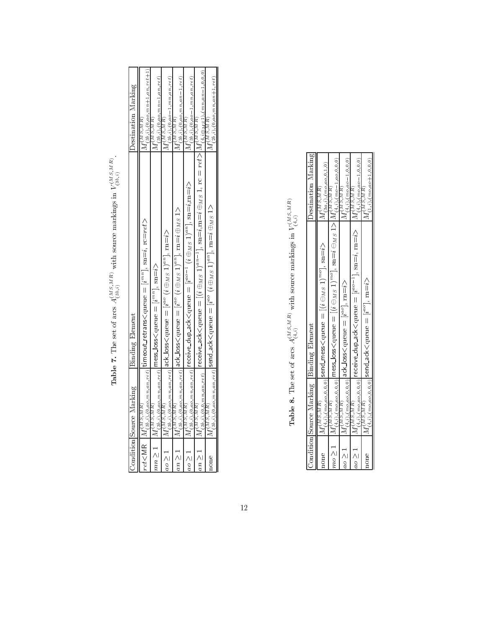**Table 7.** The set of arcs  $A_{(3b,i)}^{(MS,MR)}$  with source markings in  $V_{(3b,i)}^{(MS,MR)}$ .

**Table 8.** The set of arcs  $A_{(4,i)}^{(MS,MR)}$  with source markings in  $V_{(4,i)}^{(MS,MR)}$ 

|  | $\sf{Destination~Marking}$                                                                                                                                                                                                                                                                                                                                                                                                            |
|--|---------------------------------------------------------------------------------------------------------------------------------------------------------------------------------------------------------------------------------------------------------------------------------------------------------------------------------------------------------------------------------------------------------------------------------------|
|  | $M_{(3a,i),(mo,ao,0,1,0)}^{(MS,MR)}$                                                                                                                                                                                                                                                                                                                                                                                                  |
|  |                                                                                                                                                                                                                                                                                                                                                                                                                                       |
|  | $(4,i)$ , $(mo, ao - 1, 0, 0, 0)$<br>M(M)                                                                                                                                                                                                                                                                                                                                                                                             |
|  | $M^{(MSMR)}_{(4,i),(mo, ao-1,0,0,0)}$                                                                                                                                                                                                                                                                                                                                                                                                 |
|  | $(1,i),(mo, ao+1,0,0,0)$<br>$M^{(M)$ , $\overline{M}R$                                                                                                                                                                                                                                                                                                                                                                                |
|  | $M_{(4,3),(two,a,0,0,0)}^{(MS,MR)}$  receive_dup_ack <qubue <math="" =="">[i^{a_0-1}], sn=i, <math>m=i</math>&gt;<br/><math>\frac{M^{(MS,MR)}_{\{\pm i\},(m o_{40},0,0,0)}</math>   send_ack<queue <math="" =="">[i^{ac}] , rn=<math>i</math>&gt;<br/><math>M^{(MS,MR)}_{(4,i),(mo,ao,0,0,0)}</math> ack Joss<queue <math="" =="">[i^{ao}], m=<math>i&gt;</math><br/>Condition Source Marking Binding Element</queue></queue></qubue> |

12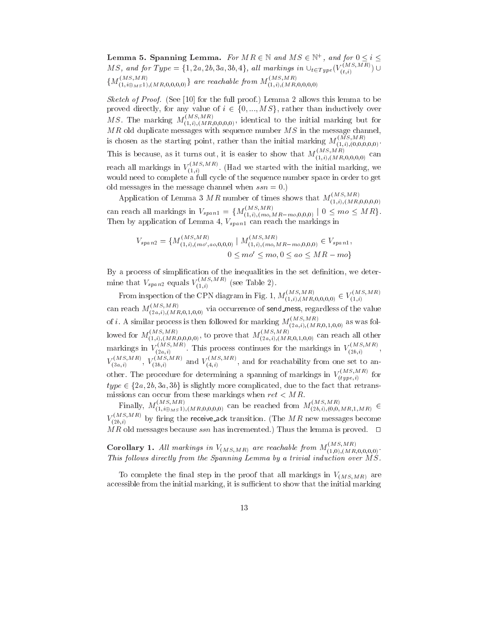Lemma 5. Spanning Lemma. For  $M \wedge \in \mathbb{N}$  and  $M \supset \in \mathbb{N}^+$ , and for  $0 \leq i \leq n$ M S, and for Type  $=\{1, 2a, 2b, 3a, 3b, 4\}$ , all markings in  $\cup_{t\in Type}(V_{(t,i)}^{(t,i)}, \ldots)$  $\{M_{(1,i\oplus_{MS}1)}(MR,0,0,0,0)}\}$  are reachable from  $M_{(1,i),(MR,0,0,0,0)}$ 

Sketch of Proof. (See [10] for the full proof.) Lemma 2 allows this lemma to be proved directly, for any value of  $i \in \{0, ..., MS\}$ , rather than inductively over M S. The marking  $M_{(1,i),(M,R,0,0,0,0)}^{(1)}$ , identical to the initial marking but for MR old duplicate messages with sequence number M S in the message channel, is chosen as the starting point, rather than the initial marking  $M_{(1,i),(0,0,0,0,0)}^{\times}$ . This is because, as it turns out, it is easier to show that  $M_{(1,i)}^{\wedge}{}_{(M\acute{R},0,0,0,0)}$  can reach all markings in  $V_{(1,3)}^{\text{max}}$ , (Ha  $(1,i)$  . The initial matrix  $\mathbf{G}$ would need to complete a full cycle of the sequence number space in order to get old messages in the message channel when  $ssn = 0$ .)

Application of Lemma 3 MR number of times shows that  $M_{(1,i),(MR,0,0,0,0)}^{(MS,MR)}$ (1;i);(MR;0;0;0;0) can reach all markings in  $V_{span1} = \{M_{(1,i),(mo,MR-mo,0,0,0)} | 0 \leq mo \leq MR\}.$ Then by application of Lemma 4, Vspanish in reach the markings in reach the markings in reach the markings in  $\alpha$ 

$$
V_{span2} = \{ M_{(1,i),(mo',ao,0,0,0)}^{(MS,MR)} \mid M_{(1,i),(mo,MR-mo,0,0,0)}^{(MS,MR)} \in V_{span1},
$$
  

$$
0 \leq mo' \leq mo, 0 \leq ao \leq MR - mo \}
$$

By a process of simplification of the inequalities in the set definition, we determine that  $V_{span2}$  equals  $V_{(1,i)}^{(m)}$  (see Table 2).

From inspection of the CPN diagram in Fig. 1,  $M_{(1,i),(M_R,0,0,0,0)}^{(1)} \in V_{(1,i)}^{(1,i)}$  $\blacksquare$ can reach  $M_{(2a,i),(MR,0,1,0,0)}^{(2a,i),(MR,0,1,0,0)}$  via occurrence of send mess, regardless of the value of i. A similar process is then followed for marking  $M_{(2a,i),(MR,0,1,0,0)}$  as was followed for  $M_{(1,i),(M,R,0,0,0,0)}$ , to prove that  $M_{(2a,i),(M,R,0,1,0,0)}$  can reach all other markings in  $V_{\text{obs}} \ll 1$ hi  $\hat{V}_{(2a,i)}$  . This process continues for the markings in  $V_{(2b,i)}$  ,  $(2b, i)$  $V_{\text{G}}$ ,  $\mathcal{N}_{\text{G}}$  $\overline{(\mathfrak{z}_{a,i})}$  ,  $V_{(\mathfrak{z}_{b,i})}$  and  $V_{(\mathfrak{z},i)}$  , and  $(4,i)$  , and for reachability from one set to analyze to another. The procedure for determining a spanning of markings in  $V_{(1, \ldots, 1)}^{(1, \ldots, 1)}$  for  $(type, i)$  $t_{(3a,i)}$ ,  $t_{(3b,i)}$  and  $t_{(4,i)}$ , and for reachability from one set to all other. The procedure for determining a spanning of markings in  $V(t_{type,i})$  for  $type \in \{2a, 2b, 3a, 3b\}$  is slightly more complicated, due to the fac missions can occur from the second cancel of mission  $\mathcal{A}^m$  when  $\mathcal{A}^m$ 

Finally,  $M_{(1,i\oplus M,5,1),(MR,0,0,0,0)}$  can be reached from  $M_{(2b,i),(0,0,MR,1,MR)}$  $V_{(2b,i)}$  by firing the receive ack transition. (The MR new messages become  $\overline{MR}$  old messages because ssn has incremented.) Thus the lemma is proved.  $\square$ 

**Corollary 1.** All markings in  $V_{(MS,MR)}$  are reachable from  $M_{(1,0),(MR,0,0,0,0)}$ . This follows directly from the Spanning Lemma by a trivial induction over  $\overline{MS}$ .

To complete the final step in the proof that all markings in  $V_{(MS,MR)}$  are accessible from the initial marking, it is sufficient to show that the initial marking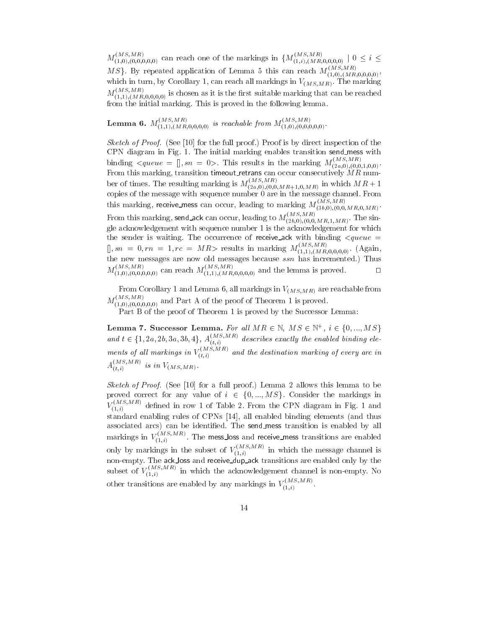$M_{(1,0),(0,0,0,0)}^{(1,0),(0,0,0)}$  can reach one of the markings in  $\{M_{(1,i),(MR,0,0,0,0)}^{(1,0),(0,0,0,0,0)}\,|\,0\leq i\leq n\}$  $MS$ . By repeated application of Lemma 5 this can reach  $M_{(1,0),(MB,0,0,0,0)}^{(1,0),(M,0,0,0,0)}$ , which in turn, by Corollary 1, can reach all markings in  $V_{(MS,MR)}$ . The marking  $M_{(1,1),(M,R,0,0,0,0)}$  is chosen as it is the first suitable marking that can be reached from the initial marking. This is proved in the following lemma.

**Lemma 6.**  $M_{(1,1),(M,R,0,0,0)}^{(1,1)}$  is reachable from  $M_{(1,0),(0,0,0,0)}^{(1,0)}$ .

*Sketch of Proof.* (See [10] for the full proof.) Proof is by direct inspection of the CPN diagram in Fig. 1. The initial marking enables transition send mess with binding  $\langle queue = ], sn = 0 \rangle$ . This results in the marking  $M_{(2a,0),(0,0,1,0,0)}^{(0,0,1,0,0)}$ . From this marking, transition timeout retrans can occur consecutively  $\hat{M}R$  number of times. The resulting marking is  $M_{(2a,0),(0,0,MR+1,0,MR)}^{(2a,0),(0,0,MR+1,0,MR)}$  in which  $MK+1$ copies of the message with sequence number  $\hat{0}$  are in the message channel. From this marking, receive mess can occur, leading to marking  $M_{(3b,0),(0,0,MR,0,MR)}^{(MS,MR)}$ From this marking, send ack can occur, leading to  $M_{(2b,0),(0,0,MR,1,MR)}^{(MS,MR)}$ . The single acknowledgement with sequence number 1 is the acknowledgement for which the sender is waiting. The occurrence of receive ack with binding <queue =  $[0, sn = 0, rn = 1, rc = MK >$  results in marking  $M_{(1,1), (M\cancel{R}, 0,0,0,0)}$ . (Again, the new messages are now old messages because ssn has incremented.) Thus  $M_{(1,0),(0,0,0,0)}^{(1,0),(0,0,0,0)}$  can reach  $M_{(1,1),(M,R,0,0,0,0)}^{(1,0,0,0,0,0)}$  and the lemma is proved.

From Corollary 1 and Lemma 6, all markings in  $V_{(MS,MR)}$  are reachable from  $M_{(1,0),(0,0,0,0)}^{(1,0,0,0,0,0)}$  and Part A of the proof of Theorem 1 is proved.

Part B of the proof of Theorem 1 is proved by the Successor Lemma:

Part B of the proof of Theorem 1 is proved by the Successor Lemma:<br>Lemma 7. Successor Lemma. For all  $MR \in \mathbb{N}$ ,  $MS \in \mathbb{N}^+$ ,  $i \in \{0, ..., MS\}$ **Lemma 7. Successor Lemma.** For all  $MR \in \mathbb{N}$ ,  $MS \in \mathbb{N}^+$ ,  $i \in \{0, ..., MS\}$  and  $t \in \{1, 2a, 2b, 3a, 3b, 4\}$ ,  $A_{(t,i)}^{(MS, MR)}$  describes exactly the enabled binding elements of all markings in  $V(t,i)$  and the destination marking of every arc in  $A_{(t,i)}^{(t,i)}$  is in  $V(MS,MR)$ .

Sketch of Proof. (See [10] for a full proof.) Lemma 2 allows this lemma to be proved correct for any value of  $i \in \{0, ..., MS\}$ . Consider the markings in  $V_{(1,i)}^{(1)}$  defined in row 1 of Table 2. From the CPN diagram in Fig. 1 and standard enabling rules of CPNs [14], all enabled binding elements (and thus associated arcs) can be identified. The send\_mess transition is enabled by all markings in  $V_{\text{max}}^{\text{max}}$ . The  $(1,i)$  . The mess loss and receiver mess receivers are enabled mess transitions are enabled in only by markings in the subset of  $V_{\text{max}}^{\text{max}}$ , in w  $(1,i)$  in the message channel is which the message channel is the message channel is  $\sim$ non-empty. The ack loss and receive dup ack transitions are enabled only by the subset of  $V_{\rm ch,n}$   $\ell=2$  in w  $(1,i)$  in which the acknowledgement channel is non-empty. Non-empty. Non-empty. Non-empty. Non-empty. Non-empty. Non-empty. Non-empty. Non-empty. Non-empty. Non-empty. Non-empty. Non-empty. Non-empty. Non-empty. Non-empty other transitions are enabled by any markings in  $V_{(1,3)}^{(1,3)}$ .

 $\cdots$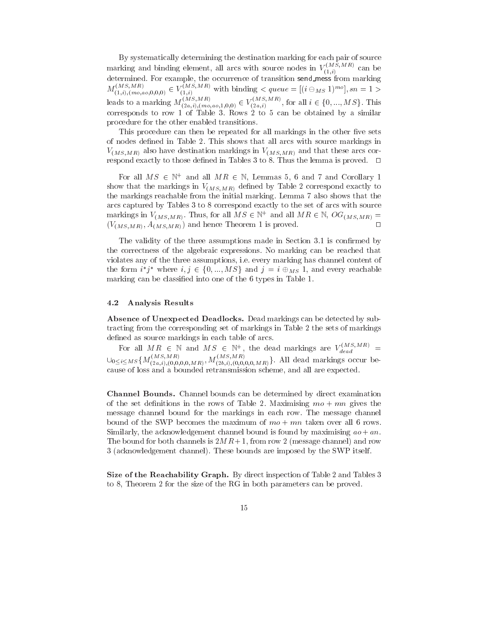By systematically determining the destination marking for each pair of source marking and binding element, all arcs with source nodes in  $V_{(1,i)}^{(1)}$  can be determined. For example, the occurrence of transition send mess from marking  $M_{(1,i),(m_0,a_0,0,0,0)} \in V_{(1,i)}$  with binding  $\lt{queue} = [(i \ominus_{MS} 1)^{m_0}], sn = 1 \gt$ leads to a marking  $M_{(2a,i),(mo,ao,1,0,0)} \in V_{(2a,i)}^{(m,n),(m,n)}$ , for a  $\overline{1}$  and  $\overline{1}$  and  $\overline{1}$  and  $\overline{1}$  and  $\overline{1}$  and  $\overline{1}$  and  $\overline{1}$  and  $\overline{1}$  and  $\overline{1}$  and  $\overline{1}$  and  $\overline{1}$  and  $\overline{1}$  and  $\overline{1}$  and  $\overline{1}$  and  $\overline{1}$  and  $\overline{1}$  and  $\overline{1}$  and  $ue = [(i \ominus_{MS} 1)^{mo}], sn = 1 >$ <br>
for all  $i \in \{0, ..., MS\}$ . This corresponds to row 1 of Table 3. Rows 2 to 5 can be obtained by a similar procedure for the other enabled transitions.

This procedure can then be repeated for all markings in the other five sets of nodes defined in Table 2. This shows that all arcs with source markings in  $V_{(MS,MR)}$  also have destination markings in  $V_{(MS,MR)}$  and that these arcs correspond exactly to those defined in Tables 3 to 8. Thus the lemma is proved.  $\square$ 

For all  $M \geq \varepsilon$  N and all  $M R \in \mathbb{N}$ , Lemmas 5, 6 and 7 and Corollary 1 show that the markings in  $V_{(MS,MR)}$  defined by Table 2 correspond exactly to the markings reachable from the initial marking. Lemma 7 also shows that the arcs captured by Tables 3 to 8 correspond exactly to the set of arcs with source markings in  $V(MS,MR)$ . Thus, for all  $M \ni \in \mathbb{N}^+$  and all  $M \ni \in \mathbb{N}$ ,  $O_{\mathbf{G}}(MS,MR)$   $\equiv$  $(V_{(MS,MR)}, A_{(MS,MR)})$  and hence Theorem 1 is proved.

The validity of the three assumptions made in Section 3.1 is confirmed by the correctness of the algebraic expressions. No marking can be reached that violates any of the three assumptions, i.e. every marking has channel content of the form if where  $i, j \in \{0, ..., M \}$  and  $j = i \oplus_{MS} 1$ , and every reachable marking can be classied into one of the 6 types in Table 1.

#### 4.2 Analysis Results

Absence of Unexpected Deadlocks. Dead markings can be detected by subtracting from the corresponding set of markings in Table 2 the sets of markings de as sources in the source matched of arcs. In the source we have a source of a source of arcs.

For all  $MR \in \mathbb{N}$  and  $MS \in \mathbb{N}^+$ , the dead markings are  $V_{dead}^{i}$  $\bigcup_{0\leq i\leq MS} \{M_{(2a,i),(0,0,0,0,MR)}, M_{(2b,i),(0,0,0,0,MR)}\}.$  All dead markings occur because of loss and a bounded retransmission scheme, and all are expected.

Channel Bounds. Channel bounds can be determined by direct examination of the set definitions in the rows of Table 2. Maximising  $mo + mn$  gives the message channel bound for the markings in each row. The message channel bound of the SWP becomes the maximum of  $mo + mn$  taken over all 6 rows. Similarly, the acknowledgement channel bound is found by maximising  $ao + an$ . The bound for both channels is  $2MR+1$ , from row 2 (message channel) and row 3 (acknowledgement channel). These bounds are imposed by the SWP itself.

Size of the Reachability Graph. By direct inspection of Table 2 and Tables 3 to 8, Theorem 2 for the size of the RG in both parameters can be proved.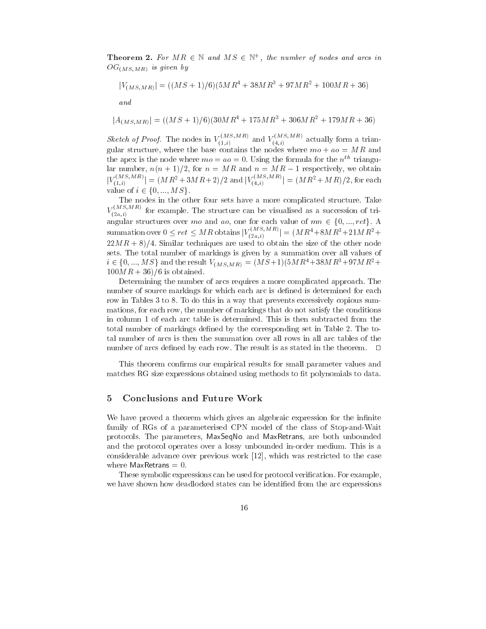**Theorem 2.** For  $M \cap \in \mathbb{N}$  and  $M \supset \in \mathbb{N}$ , the number of nodes and arcs in  $OG_{(MS,MR)}$  is given by

$$
|V_{(MS,MR)}| = ((MS+1)/6)(5MR^4 + 38MR^3 + 97MR^2 + 100MR + 36)
$$

$$
|A_{(MS,MR)}| = ((MS+1)/6)(30MR^4 + 175MR^3 + 306MR^2 + 179MR + 36)
$$

Sketch of Proof. The nodes in  $V_{(1,i)}^{(1)}$  and  $V_{(4,i)}^{(4)}$  actually form a trianguesse structure, where the base contains the nodes where where  $\mu$  and  $\mu$  and  $\mu$  and  $\mu$ the apex is the node where  $mo = ao = 0$ . Using the formula for the  $n^{th}$  triangular number,  $n(n+1)/2$ , for  $n = MR$  and  $n = MR - 1$  respectively, we obtain  $|V \rangle$  is  $V$  and  $|V \rangle = |V \rangle$  $|V_{(1,i)}(1,i)| = (MR^2 + 3MR + 2)/2$  and  $|V_{(4,i)}(1,i)| = (M^2 + 3MR + 2)/2$  $(i_{4,i})$  =  $(M R^{-} + M R)/2$ , for each ar number,  $n(n + 1)/2$ , for  $|V_{(1,i)}^{(MS,MR)}| = (MR^2 + 3MR)$ <br>value of  $i \in \{0, ..., MS\}$ .

The nodes in the other four sets have a more complicated structure. Take  $V_{\alpha}$  or  $\epsilon$  $(2a,i)$  for example. The structure can be visually structure can be visually successive  $\Gamma$ angular structures over mo and ao, one for each value of  $mn \in \{0, ..., ret\}$ . A summation over  $0 \leq ret \leq MR$  obtains  $|V_{\alpha}(\mathcal{A})|^{m}$  $(i_{a,i})$   $=$   $(MR^+ + 8MR^+ + 21MR^+ +$  $22MR + 8/4$ . Similar techniques are used to obtain the size of the other node sets. The total number of all numbers  $q$  is given by a summation over all values of  $\sim$  $22MR + 8)/4$ . Similar techniques are used to obtain the size of the other node<br>sets. The total number of markings is given by a summation over all values of<br> $i \in \{0, ..., MS\}$  and the result  $V_{(MS, MR)} = (MS+1)(5MR^4 + 38MR^3 + 97MR^2 +$  $100MR + 36/6$  is obtained.

Determining the number of arcs requires a more complicated approach. The number of source markings for which each arc is defined is determined for each row in Tables 3 to 8. To do this in a way that prevents excessively copious summations, for each row, the number of markings that do not satisfy the conditions in column 1 of each arc table is determined. This is then subtracted from the total number of markings defined by the corresponding set in Table 2. The total number of arcs is then the summation over all rows in all arc tables of the number of arcs defined by each row. The result is as stated in the theorem.  $\Box$ 

This theorem confirms our empirical results for small parameter values and matches RG size expressions obtained using methods to fit polynomials to data.

#### 5 Conclusions and Future Work 5

We have proved a theorem which gives an algebraic expression for the infinite family of RGs of a parameterised CPN model of the class of Stop-and-Wait protocols. The parameters, MaxSeqNo and MaxRetrans, are both unbounded and the protocol operates over a lossy unbounded in-order medium. This is a considerable advance over previous work [12], which was restricted to the case where MaxRetrans  $= 0$ .

These symbolic expressions can be used for protocol verification. For example, we have shown how deadlocked states can be identified from the arc expressions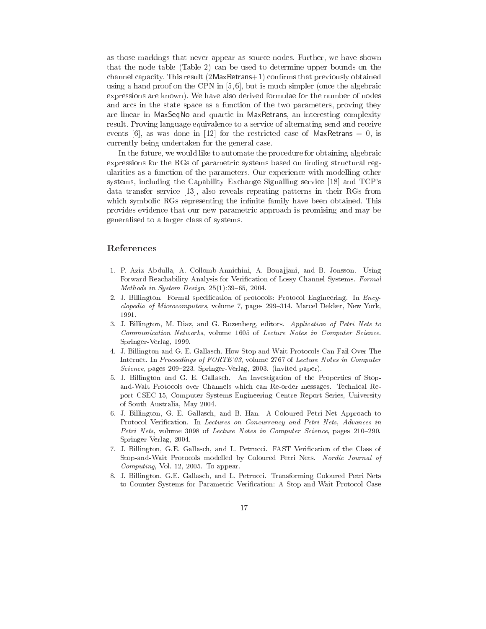as those markings that never appear as source nodes. Further, we have shown that the node table (Table 2) can be used to determine upper bounds on the channel capacity. This result  $(2$ MaxRetrans $+1)$  confirms that previously obtained using a hand proof on the CPN in [5, 6], but is much simpler (once the algebraic expressions are known). We have also derived formulae for the number of nodes and arcs in the state space as a function of the two parameters, proving they are linear in MaxSeqNo and quartic in MaxRetrans, an interesting complexity result. Proving language equivalence to a service of alternating send and receive events [6], as was done in [12] for the restricted case of MaxRetrans  $= 0$ , is currently being undertaken for the general case.

In the future, we would like to automate the procedure for obtaining algebraic expressions for the RGs of parametric systems based on finding structural regularities as a function of the parameters. Our experience with modelling other systems, including the Capability Exchange Signalling service [18] and TCP's data transfer service [13], also reveals repeating patterns in their RGs from which symbolic RGs representing the infinite family have been obtained. This provides evidence that our new parametric approach is promising and may be generalised to a larger class of systems.

# References

- 1. P. Aziz Abdulla, A. Collomb-Annichini, A. Boua jjani, and B. Jonsson. Using Forward Reachability Analysis for Verification of Lossy Channel Systems. Formal Methods in System Design,  $25(1):39-65$ , 2004.
- 2. J. Billington. Formal specification of protocols: Protocol Engineering. In  $Ency$ clopedia of Microcomputers, volume 7, pages 299-314. Marcel Dekker, New York, 1991.
- 3. J. Billington, M. Diaz, and G. Rozenberg, editors. Application of Petri Nets to Communication Networks, volume 1605 of Lecture Notes in Computer Science. Springer-Verlag, 1999.
- 4. J. Billington and G. E. Gallasch. How Stop and Wait Protocols Can Fail Over The Internet. In Proceedings of FORTE'03, volume 2767 of Lecture Notes in Computer Science, pages  $209-223$ . Springer-Verlag, 2003. (invited paper).
- 5. J. Billington and G. E. Gallasch. An Investigation of the Properties of Stopand-Wait Protocols over Channels which can Re-order messages. Technical Report CSEC-15, Computer Systems Engineering Centre Report Series, University of South Australia, May 2004.
- 6. J. Billington, G. E. Gallasch, and B. Han. A Coloured Petri Net Approach to Protocol Verification. In Lectures on Concurrency and Petri Nets, Advances in Petri Nets, volume 3098 of Lecture Notes in Computer Science, pages 210-290. Springer-Verlag, 2004.
- 7. J. Billington, G.E. Gallasch, and L. Petrucci. FAST Verication of the Class of Stop-and-Wait Protocols modelled by Coloured Petri Nets. Nordic Journal of Computing, Vol. 12, 2005. To appear.
- 8. J. Billington, G.E. Gallasch, and L. Petrucci. Transforming Coloured Petri Nets to Counter Systems for Parametric Verification: A Stop-and-Wait Protocol Case